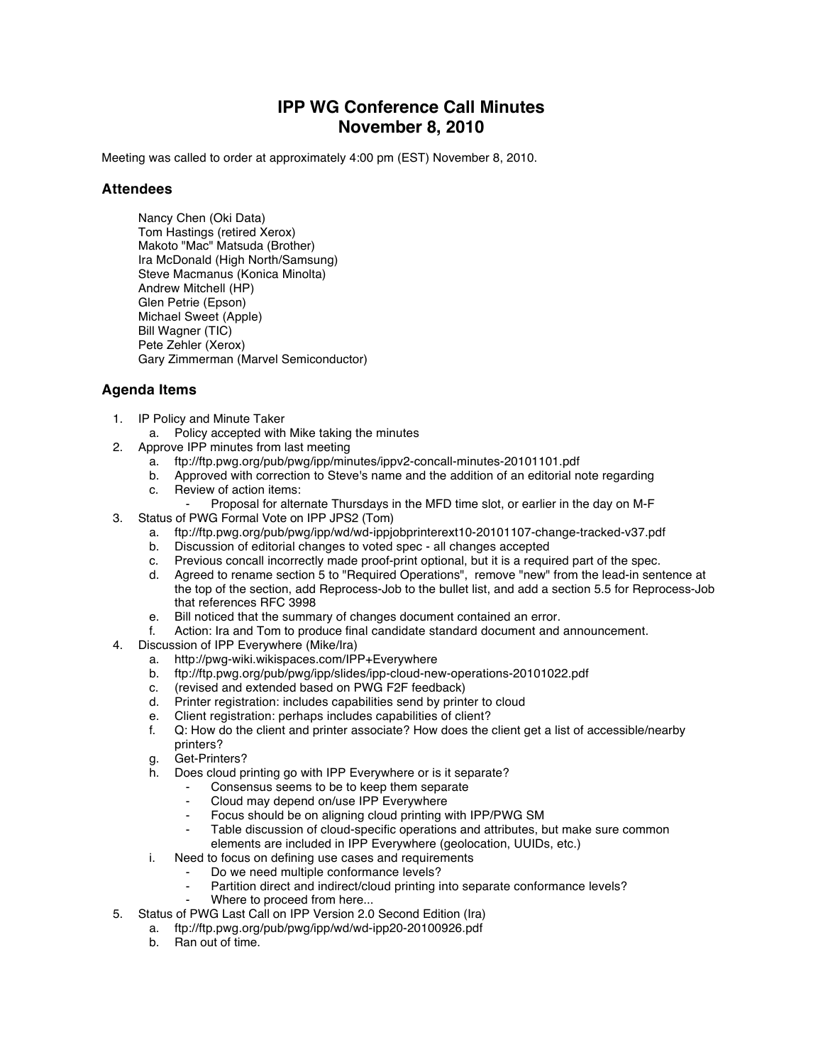## **IPP WG Conference Call Minutes November 8, 2010**

Meeting was called to order at approximately 4:00 pm (EST) November 8, 2010.

## **Attendees**

Nancy Chen (Oki Data) Tom Hastings (retired Xerox) Makoto "Mac" Matsuda (Brother) Ira McDonald (High North/Samsung) Steve Macmanus (Konica Minolta) Andrew Mitchell (HP) Glen Petrie (Epson) Michael Sweet (Apple) Bill Wagner (TIC) Pete Zehler (Xerox) Gary Zimmerman (Marvel Semiconductor)

## **Agenda Items**

- 1. IP Policy and Minute Taker
	- a. Policy accepted with Mike taking the minutes
- 2. Approve IPP minutes from last meeting
	- a. ftp://ftp.pwg.org/pub/pwg/ipp/minutes/ippv2-concall-minutes-20101101.pdf
	- b. Approved with correction to Steve's name and the addition of an editorial note regarding c. Review of action items:
	- Proposal for alternate Thursdays in the MFD time slot, or earlier in the day on M-F
- 3. Status of PWG Formal Vote on IPP JPS2 (Tom)
	- a. ftp://ftp.pwg.org/pub/pwg/ipp/wd/wd-ippjobprinterext10-20101107-change-tracked-v37.pdf
	- b. Discussion of editorial changes to voted spec all changes accepted
	- c. Previous concall incorrectly made proof-print optional, but it is a required part of the spec.
	- d. Agreed to rename section 5 to "Required Operations", remove "new" from the lead-in sentence at the top of the section, add Reprocess-Job to the bullet list, and add a section 5.5 for Reprocess-Job that references RFC 3998
	- e. Bill noticed that the summary of changes document contained an error.
	- f. Action: Ira and Tom to produce final candidate standard document and announcement.
- 4. Discussion of IPP Everywhere (Mike/Ira)
	- a. http://pwg-wiki.wikispaces.com/IPP+Everywhere
	- b. ftp://ftp.pwg.org/pub/pwg/ipp/slides/ipp-cloud-new-operations-20101022.pdf
	- c. (revised and extended based on PWG F2F feedback)
	- d. Printer registration: includes capabilities send by printer to cloud
	- e. Client registration: perhaps includes capabilities of client?
	- f. Q: How do the client and printer associate? How does the client get a list of accessible/nearby printers?
	- g. Get-Printers?
	- h. Does cloud printing go with IPP Everywhere or is it separate?
		- Consensus seems to be to keep them separate
		- Cloud may depend on/use IPP Everywhere
		- Focus should be on aligning cloud printing with IPP/PWG SM
		- Table discussion of cloud-specific operations and attributes, but make sure common elements are included in IPP Everywhere (geolocation, UUIDs, etc.)
	- i. Need to focus on defining use cases and requirements
		- Do we need multiple conformance levels?
			- Partition direct and indirect/cloud printing into separate conformance levels?
		- Where to proceed from here...
- 5. Status of PWG Last Call on IPP Version 2.0 Second Edition (Ira)
	- a. ftp://ftp.pwg.org/pub/pwg/ipp/wd/wd-ipp20-20100926.pdf
	- b. Ran out of time.